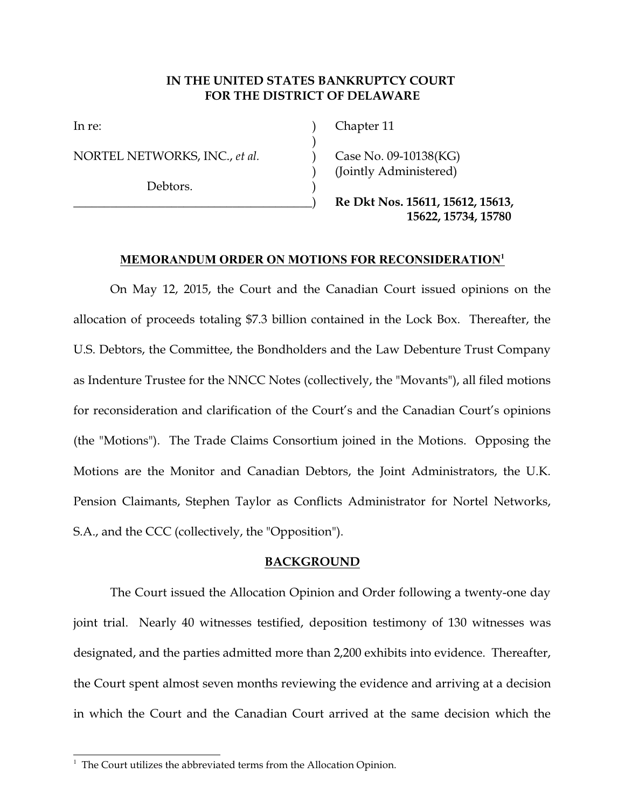# **IN THE UNITED STATES BANKRUPTCY COURT FOR THE DISTRICT OF DELAWARE**

)

NORTEL NETWORKS, INC., *et al.* (2006) Case No. 09-10138(KG)

Debtors.

In re: (a) Chapter 11

) (Jointly Administered)

\_\_\_\_\_\_\_\_\_\_\_\_\_\_\_\_\_\_\_\_\_\_\_\_\_\_\_\_\_\_\_\_\_\_\_\_\_\_\_) **Re Dkt Nos. 15611, 15612, 15613, 15622, 15734, 15780** 

## **MEMORANDUM ORDER ON MOTIONS FOR RECONSIDERATION<sup>1</sup>**

On May 12, 2015, the Court and the Canadian Court issued opinions on the allocation of proceeds totaling \$7.3 billion contained in the Lock Box. Thereafter, the U.S. Debtors, the Committee, the Bondholders and the Law Debenture Trust Company as Indenture Trustee for the NNCC Notes (collectively, the "Movants"), all filed motions for reconsideration and clarification of the Court's and the Canadian Court's opinions (the "Motions"). The Trade Claims Consortium joined in the Motions. Opposing the Motions are the Monitor and Canadian Debtors, the Joint Administrators, the U.K. Pension Claimants, Stephen Taylor as Conflicts Administrator for Nortel Networks, S.A., and the CCC (collectively, the "Opposition").

## **BACKGROUND**

The Court issued the Allocation Opinion and Order following a twenty-one day joint trial. Nearly 40 witnesses testified, deposition testimony of 130 witnesses was designated, and the parties admitted more than 2,200 exhibits into evidence. Thereafter, the Court spent almost seven months reviewing the evidence and arriving at a decision in which the Court and the Canadian Court arrived at the same decision which the

<sup>&</sup>lt;sup>1</sup> The Court utilizes the abbreviated terms from the Allocation Opinion.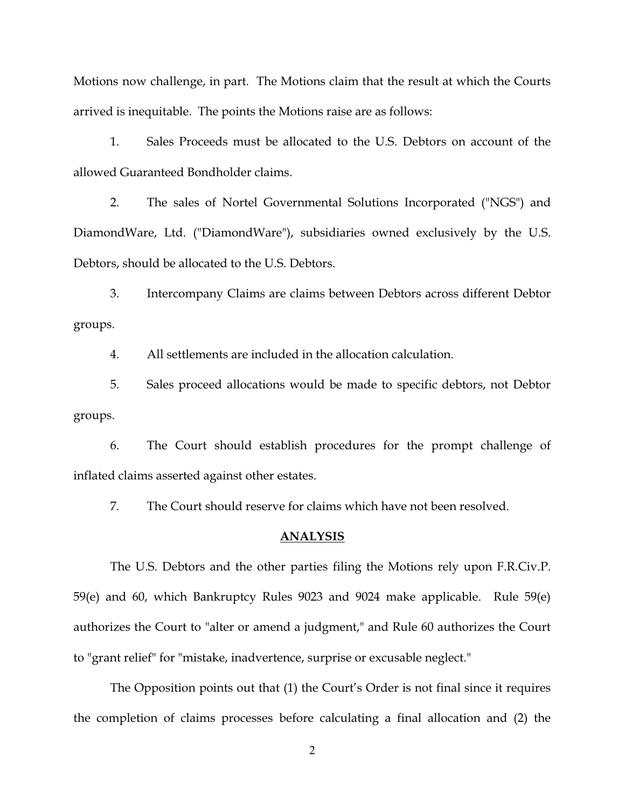Motions now challenge, in part. The Motions claim that the result at which the Courts arrived is inequitable. The points the Motions raise are as follows:

1. Sales Proceeds must be allocated to the U.S. Debtors on account of the allowed Guaranteed Bondholder claims.

2. The sales of Nortel Governmental Solutions Incorporated ("NGS") and DiamondWare, Ltd. ("DiamondWare"), subsidiaries owned exclusively by the U.S. Debtors, should be allocated to the U.S. Debtors.

3. Intercompany Claims are claims between Debtors across different Debtor groups.

4. All settlements are included in the allocation calculation.

5. Sales proceed allocations would be made to specific debtors, not Debtor groups.

6. The Court should establish procedures for the prompt challenge of inflated claims asserted against other estates.

7. The Court should reserve for claims which have not been resolved.

#### **ANALYSIS**

The U.S. Debtors and the other parties filing the Motions rely upon F.R.Civ.P. 59(e) and 60, which Bankruptcy Rules 9023 and 9024 make applicable. Rule 59(e) authorizes the Court to "alter or amend a judgment," and Rule 60 authorizes the Court to "grant relief" for "mistake, inadvertence, surprise or excusable neglect."

The Opposition points out that (1) the Court's Order is not final since it requires the completion of claims processes before calculating a final allocation and (2) the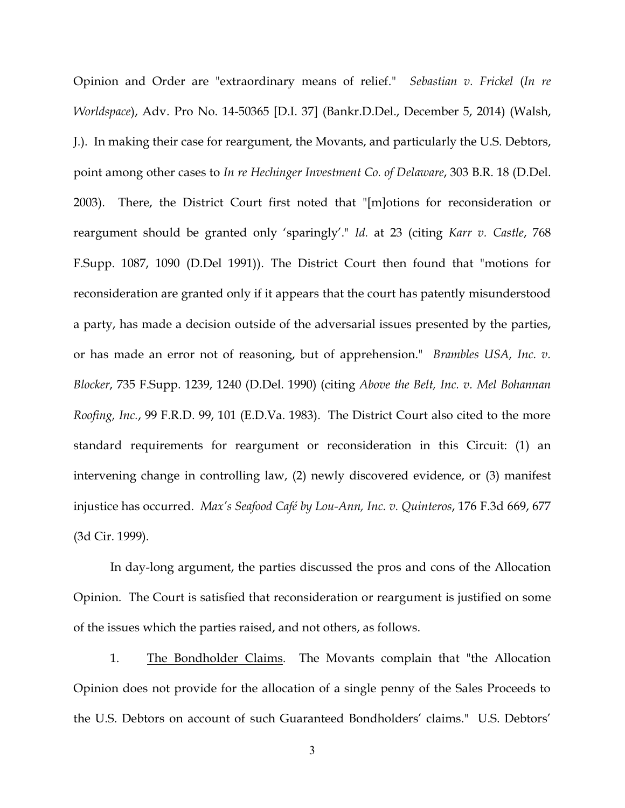Opinion and Order are "extraordinary means of relief." *Sebastian v. Frickel* (*In re Worldspace*), Adv. Pro No. 14-50365 [D.I. 37] (Bankr.D.Del., December 5, 2014) (Walsh, J.). In making their case for reargument, the Movants, and particularly the U.S. Debtors, point among other cases to *In re Hechinger Investment Co. of Delaware*, 303 B.R. 18 (D.Del. 2003). There, the District Court first noted that "[m]otions for reconsideration or reargument should be granted only 'sparingly'." *Id.* at 23 (citing *Karr v. Castle*, 768 F.Supp. 1087, 1090 (D.Del 1991)). The District Court then found that "motions for reconsideration are granted only if it appears that the court has patently misunderstood a party, has made a decision outside of the adversarial issues presented by the parties, or has made an error not of reasoning, but of apprehension." *Brambles USA, Inc. v. Blocker*, 735 F.Supp. 1239, 1240 (D.Del. 1990) (citing *Above the Belt, Inc. v. Mel Bohannan Roofing, Inc.*, 99 F.R.D. 99, 101 (E.D.Va. 1983). The District Court also cited to the more standard requirements for reargument or reconsideration in this Circuit: (1) an intervening change in controlling law, (2) newly discovered evidence, or (3) manifest injustice has occurred. *Max's Seafood Café by Lou-Ann, Inc. v. Quinteros*, 176 F.3d 669, 677 (3d Cir. 1999).

In day-long argument, the parties discussed the pros and cons of the Allocation Opinion. The Court is satisfied that reconsideration or reargument is justified on some of the issues which the parties raised, and not others, as follows.

1. The Bondholder Claims. The Movants complain that "the Allocation Opinion does not provide for the allocation of a single penny of the Sales Proceeds to the U.S. Debtors on account of such Guaranteed Bondholders' claims." U.S. Debtors'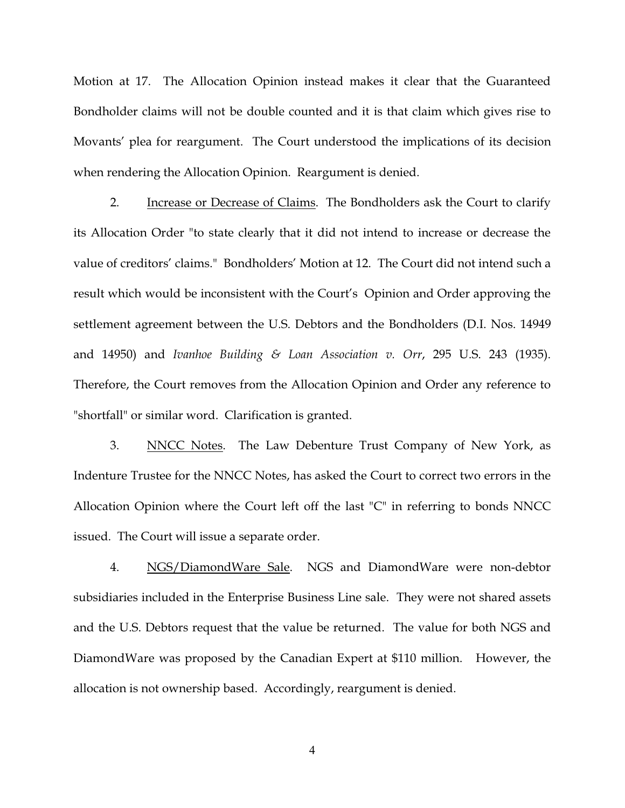Motion at 17. The Allocation Opinion instead makes it clear that the Guaranteed Bondholder claims will not be double counted and it is that claim which gives rise to Movants' plea for reargument. The Court understood the implications of its decision when rendering the Allocation Opinion. Reargument is denied.

2. Increase or Decrease of Claims. The Bondholders ask the Court to clarify its Allocation Order "to state clearly that it did not intend to increase or decrease the value of creditors' claims." Bondholders' Motion at 12. The Court did not intend such a result which would be inconsistent with the Court's Opinion and Order approving the settlement agreement between the U.S. Debtors and the Bondholders (D.I. Nos. 14949 and 14950) and *Ivanhoe Building & Loan Association v. Orr*, 295 U.S. 243 (1935). Therefore, the Court removes from the Allocation Opinion and Order any reference to "shortfall" or similar word. Clarification is granted.

3. NNCC Notes. The Law Debenture Trust Company of New York, as Indenture Trustee for the NNCC Notes, has asked the Court to correct two errors in the Allocation Opinion where the Court left off the last "C" in referring to bonds NNCC issued. The Court will issue a separate order.

4. NGS/DiamondWare Sale. NGS and DiamondWare were non-debtor subsidiaries included in the Enterprise Business Line sale. They were not shared assets and the U.S. Debtors request that the value be returned. The value for both NGS and DiamondWare was proposed by the Canadian Expert at \$110 million. However, the allocation is not ownership based. Accordingly, reargument is denied.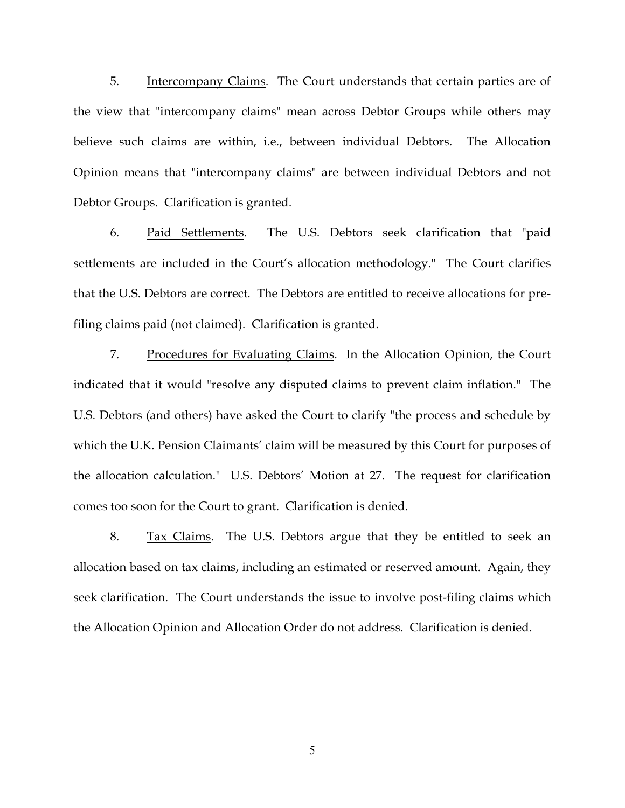5. Intercompany Claims. The Court understands that certain parties are of the view that "intercompany claims" mean across Debtor Groups while others may believe such claims are within, i.e., between individual Debtors. The Allocation Opinion means that "intercompany claims" are between individual Debtors and not Debtor Groups. Clarification is granted.

6. Paid Settlements. The U.S. Debtors seek clarification that "paid settlements are included in the Court's allocation methodology." The Court clarifies that the U.S. Debtors are correct. The Debtors are entitled to receive allocations for prefiling claims paid (not claimed). Clarification is granted.

7. Procedures for Evaluating Claims. In the Allocation Opinion, the Court indicated that it would "resolve any disputed claims to prevent claim inflation." The U.S. Debtors (and others) have asked the Court to clarify "the process and schedule by which the U.K. Pension Claimants' claim will be measured by this Court for purposes of the allocation calculation." U.S. Debtors' Motion at 27. The request for clarification comes too soon for the Court to grant. Clarification is denied.

8. Tax Claims. The U.S. Debtors argue that they be entitled to seek an allocation based on tax claims, including an estimated or reserved amount. Again, they seek clarification. The Court understands the issue to involve post-filing claims which the Allocation Opinion and Allocation Order do not address. Clarification is denied.